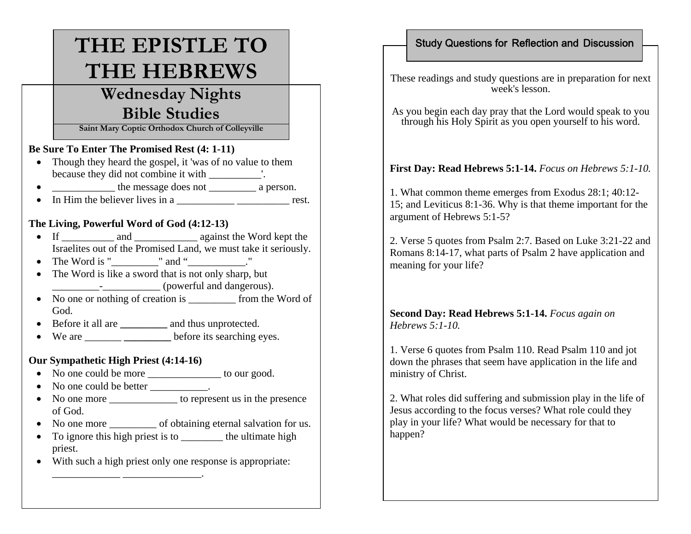# **THE EPISTLE TO THE HEBREWS**

## **Wednesday Nights Bible Studies**

**Saint Mary Coptic Orthodox Church of Colleyville**

#### **Be Sure To Enter The Promised Rest (4: 1-11)**

- Though they heard the gospel, it 'was of no value to them because they did not combine it with \_\_\_\_\_\_\_\_\_\_'.
- \_\_\_\_\_\_\_\_\_\_\_\_ the message does not \_\_\_\_\_\_\_\_\_ a person.
- In Him the believer lives in a \_\_\_\_\_\_\_\_\_\_\_\_\_\_\_\_\_\_\_\_\_\_\_\_\_\_\_\_\_\_\_\_\_ rest.

## **The Living, Powerful Word of God (4:12-13)**

- If \_\_\_\_\_\_\_\_\_\_\_ and \_\_\_\_\_\_\_\_\_\_\_\_\_\_\_\_ against the Word kept the Israelites out of the Promised Land, we must take it seriously.
- The Word is " \_\_\_\_\_\_" and "\_\_\_\_\_\_\_."
- The Word is like a sword that is not only sharp, but \_\_\_\_\_\_\_\_\_-\_\_\_\_\_\_\_\_\_\_\_ (powerful and dangerous).
- No one or nothing of creation is from the Word of God.
- Before it all are **\_\_\_\_\_\_\_\_\_** and thus unprotected.
- We are \_\_\_\_\_\_\_ **\_\_\_\_\_\_\_\_\_** before its searching eyes.

### **Our Sympathetic High Priest (4:14-16)**

 $\blacksquare$  . The contract of the contract of the contract of the contract of the contract of the contract of the contract of the contract of the contract of the contract of the contract of the contract of the contract of the

- No one could be more \_\_\_\_\_\_\_\_\_\_\_\_\_\_\_\_ to our good.
- No one could be better \_\_\_\_\_\_\_\_\_\_.
- No one more \_\_\_\_\_\_\_\_\_\_\_\_\_\_\_ to represent us in the presence of God.
- No one more of obtaining eternal salvation for us.
- To ignore this high priest is to \_\_\_\_\_\_\_\_\_\_ the ultimate high priest.
- With such a high priest only one response is appropriate:

## Study Questions for Reflection and Discussion

These readings and study questions are in preparation for next week's lesson.

As you begin each day pray that the Lord would speak to you through his Holy Spirit as you open yourself to his word.

## **First Day: Read Hebrews 5:1-14.** *Focus on Hebrews 5:1-10.*

1. What common theme emerges from Exodus 28:1; 40:12- 15; and Leviticus 8:1-36. Why is that theme important for the argument of Hebrews 5:1-5?

2. Verse 5 quotes from Psalm 2:7. Based on Luke 3:21-22 and Romans 8:14-17, what parts of Psalm 2 have application and meaning for your life?

## **Second Day: Read Hebrews 5:1-14.** *Focus again on Hebrews 5:1-10.*

1. Verse 6 quotes from Psalm 110. Read Psalm 110 and jot down the phrases that seem have application in the life and ministry of Christ.

2. What roles did suffering and submission play in the life of Jesus according to the focus verses? What role could they play in your life? What would be necessary for that to happen?